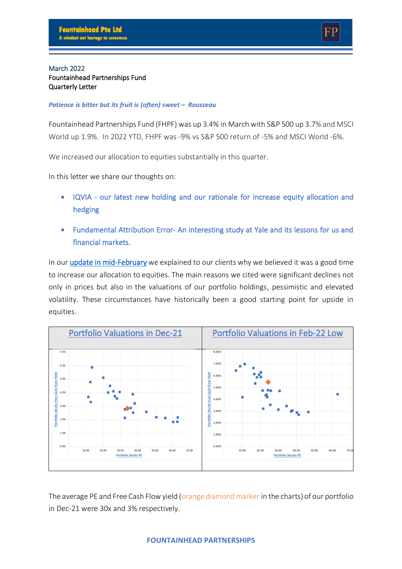### March 2022 Fountainhead Partnerships Fund Quarterly Letter

#### *Patience is bitter but its fruit is (often) sweet – Rousseau*

Fountainhead Partnerships Fund (FHPF) was up 3.4% in March with S&P 500 up 3.7% and MSCI World up 1.9%. In 2022 YTD, FHPF was -9% vs S&P 500 return of -5% and MSCI World -6%.

We increased our allocation to equities substantially in this quarter.

In this letter we share our thoughts on:

- IQVIA our latest new holding and our rationale for increase equity allocation and hedging
- Fundamental Attribution Error- An interesting study at Yale and its lessons for us and financial markets.

In our [update in mid-February](https://thefountainhead.sg/wp-content/uploads/PDFs/FF-Jan22.pdf) we explained to our clients why we believed it was a good time to increase our allocation to equities. The main reasons we cited were significant declines not only in prices but also in the valuations of our portfolio holdings, pessimistic and elevated volatility. These circumstances have historically been a good starting point for upside in equities.



The average PE and Free Cash Flow yield (orange diamond marker in the charts) of our portfolio in Dec-21 were 30x and 3% respectively.

### **FOUNTAINHEAD PARTNERSHIPS**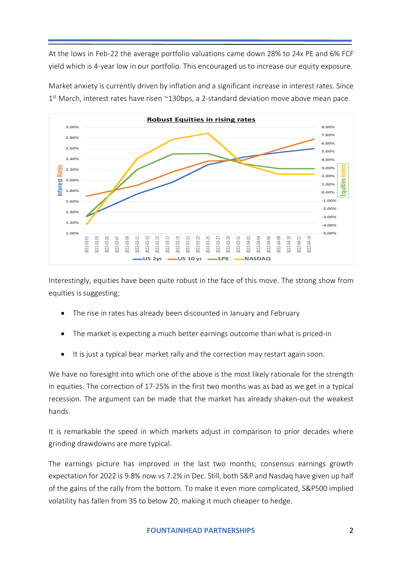At the lows in Feb-22 the average portfolio valuations came down 28% to 24x PE and 6% FCF yield which is 4-year low in our portfolio. This encouraged us to increase our equity exposure.



Market anxiety is currently driven by inflation and a significant increase in interest rates. Since 1<sup>st</sup> March, interest rates have risen ~130bps, a 2-standard deviation move above mean pace.

Interestingly, equities have been quite robust in the face of this move. The strong show from equities is suggesting;

- The rise in rates has already been discounted in January and February
- The market is expecting a much better earnings outcome than what is priced-in
- It is just a typical bear market rally and the correction may restart again soon.

We have no foresight into which one of the above is the most likely rationale for the strength in equities. The correction of 17-25% in the first two months was as bad as we get in a typical recession. The argument can be made that the market has already shaken-out the weakest hands.

It is remarkable the speed in which markets adjust in comparison to prior decades where grinding drawdowns are more typical.

The earnings picture has improved in the last two months; consensus earnings growth expectation for 2022 is 9.8% now vs 7.2% in Dec. Still, both S&P and Nasdaq have given up half of the gains of the rally from the bottom. To make it even more complicated, S&P500 implied volatility has fallen from 35 to below 20, making it much cheaper to hedge.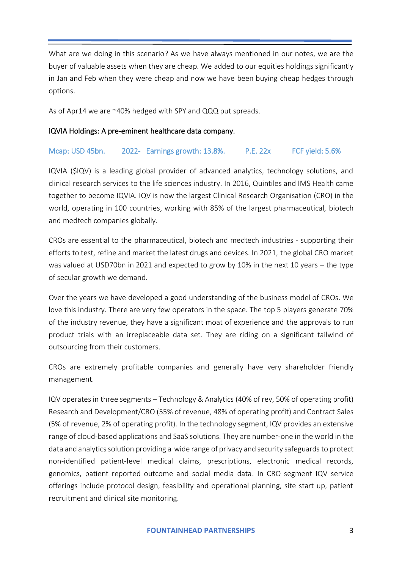What are we doing in this scenario? As we have always mentioned in our notes, we are the buyer of valuable assets when they are cheap. We added to our equities holdings significantly in Jan and Feb when they were cheap and now we have been buying cheap hedges through options.

As of Apr14 we are ~40% hedged with SPY and QQQ put spreads.

## IQVIA Holdings: A pre-eminent healthcare data company.

## Mcap: USD 45bn. 2022- Earnings growth: 13.8%. P.E. 22x FCF yield: 5.6%

IQVIA (\$IQV) is a leading global provider of advanced analytics, technology solutions, and clinical research services to the life sciences industry. In 2016, Quintiles and IMS Health came together to become IQVIA. IQV is now the largest Clinical Research Organisation (CRO) in the world, operating in 100 countries, working with 85% of the largest pharmaceutical, biotech and medtech companies globally.

CROs are essential to the pharmaceutical, biotech and medtech industries - supporting their efforts to test, refine and market the latest drugs and devices. In 2021, the global CRO market was valued at USD70bn in 2021 and expected to grow by 10% in the next 10 years – the type of secular growth we demand.

Over the years we have developed a good understanding of the business model of CROs. We love this industry. There are very few operators in the space. The top 5 players generate 70% of the industry revenue, they have a significant moat of experience and the approvals to run product trials with an irreplaceable data set. They are riding on a significant tailwind of outsourcing from their customers.

CROs are extremely profitable companies and generally have very shareholder friendly management.

IQV operates in three segments – Technology & Analytics (40% of rev, 50% of operating profit) Research and Development/CRO (55% of revenue, 48% of operating profit) and Contract Sales (5% of revenue, 2% of operating profit). In the technology segment, IQV provides an extensive range of cloud-based applications and SaaS solutions. They are number-one in the world in the data and analytics solution providing a wide range of privacy and security safeguards to protect non-identified patient-level medical claims, prescriptions, electronic medical records, genomics, patient reported outcome and social media data. In CRO segment IQV service offerings include protocol design, feasibility and operational planning, site start up, patient recruitment and clinical site monitoring.